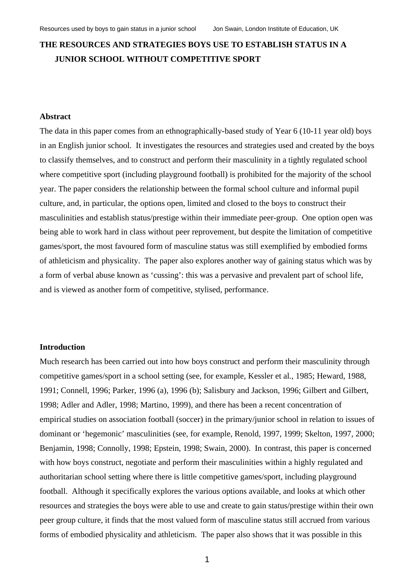# **THE RESOURCES AND STRATEGIES BOYS USE TO ESTABLISH STATUS IN A JUNIOR SCHOOL WITHOUT COMPETITIVE SPORT**

#### **Abstract**

The data in this paper comes from an ethnographically-based study of Year 6 (10-11 year old) boys in an English junior school. It investigates the resources and strategies used and created by the boys to classify themselves, and to construct and perform their masculinity in a tightly regulated school where competitive sport (including playground football) is prohibited for the majority of the school year. The paper considers the relationship between the formal school culture and informal pupil culture, and, in particular, the options open, limited and closed to the boys to construct their masculinities and establish status/prestige within their immediate peer-group. One option open was being able to work hard in class without peer reprovement, but despite the limitation of competitive games/sport, the most favoured form of masculine status was still exemplified by embodied forms of athleticism and physicality. The paper also explores another way of gaining status which was by a form of verbal abuse known as 'cussing': this was a pervasive and prevalent part of school life, and is viewed as another form of competitive, stylised, performance.

## **Introduction**

Much research has been carried out into how boys construct and perform their masculinity through competitive games/sport in a school setting (see, for example, Kessler et al*.,* 1985; Heward, 1988, 1991; Connell, 1996; Parker, 1996 (a), 1996 (b); Salisbury and Jackson, 1996; Gilbert and Gilbert, 1998; Adler and Adler, 1998; Martino, 1999), and there has been a recent concentration of empirical studies on association football (soccer) in the primary/junior school in relation to issues of dominant or 'hegemonic' masculinities (see, for example, Renold, 1997, 1999; Skelton, 1997, 2000; Benjamin, 1998; Connolly, 1998; Epstein, 1998; Swain, 2000). In contrast, this paper is concerned with how boys construct, negotiate and perform their masculinities within a highly regulated and authoritarian school setting where there is little competitive games/sport, including playground football. Although it specifically explores the various options available, and looks at which other resources and strategies the boys were able to use and create to gain status/prestige within their own peer group culture, it finds that the most valued form of masculine status still accrued from various forms of embodied physicality and athleticism. The paper also shows that it was possible in this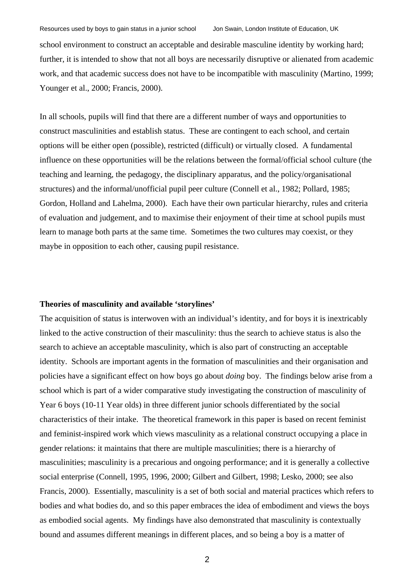school environment to construct an acceptable and desirable masculine identity by working hard; further, it is intended to show that not all boys are necessarily disruptive or alienated from academic work, and that academic success does not have to be incompatible with masculinity (Martino, 1999; Younger et al., 2000; Francis, 2000).

In all schools, pupils will find that there are a different number of ways and opportunities to construct masculinities and establish status. These are contingent to each school, and certain options will be either open (possible), restricted (difficult) or virtually closed. A fundamental influence on these opportunities will be the relations between the formal/official school culture (the teaching and learning, the pedagogy, the disciplinary apparatus, and the policy/organisational structures) and the informal/unofficial pupil peer culture (Connell et al., 1982; Pollard, 1985; Gordon, Holland and Lahelma, 2000). Each have their own particular hierarchy, rules and criteria of evaluation and judgement, and to maximise their enjoyment of their time at school pupils must learn to manage both parts at the same time. Sometimes the two cultures may coexist, or they maybe in opposition to each other, causing pupil resistance.

#### **Theories of masculinity and available 'storylines'**

The acquisition of status is interwoven with an individual's identity, and for boys it is inextricably linked to the active construction of their masculinity: thus the search to achieve status is also the search to achieve an acceptable masculinity, which is also part of constructing an acceptable identity. Schools are important agents in the formation of masculinities and their organisation and policies have a significant effect on how boys go about *doing* boy. The findings below arise from a school which is part of a wider comparative study investigating the construction of masculinity of Year 6 boys (10-11 Year olds) in three different junior schools differentiated by the social characteristics of their intake. The theoretical framework in this paper is based on recent feminist and feminist-inspired work which views masculinity as a relational construct occupying a place in gender relations: it maintains that there are multiple masculinities; there is a hierarchy of masculinities; masculinity is a precarious and ongoing performance; and it is generally a collective social enterprise (Connell, 1995, 1996, 2000; Gilbert and Gilbert, 1998; Lesko, 2000; see also Francis, 2000). Essentially, masculinity is a set of both social and material practices which refers to bodies and what bodies do, and so this paper embraces the idea of embodiment and views the boys as embodied social agents. My findings have also demonstrated that masculinity is contextually bound and assumes different meanings in different places, and so being a boy is a matter of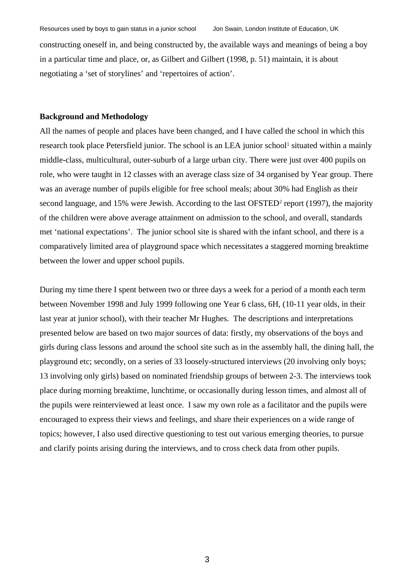constructing oneself in, and being constructed by, the available ways and meanings of being a boy in a particular time and place, or, as Gilbert and Gilbert (1998, p. 51) maintain, it is about negotiating a 'set of storylines' and 'repertoires of action'.

#### **Background and Methodology**

All the names of people and places have been changed, and I have called the school in which this research took place Petersfield junior. The school is an LEA junior school<sup>[1](#page-21-0)</sup> situated within a mainly middle-class, multicultural, outer-suburb of a large urban city. There were just over 400 pupils on role, who were taught in 12 classes with an average class size of 34 organised by Year group. There was an average number of pupils eligible for free school meals; about 30% had English as their second language, and 15% were Jewish. According to the last OFSTED<sup>[2](#page-21-1)</sup> report (1997), the majority of the children were above average attainment on admission to the school, and overall, standards met 'national expectations'. The junior school site is shared with the infant school, and there is a comparatively limited area of playground space which necessitates a staggered morning breaktime between the lower and upper school pupils.

During my time there I spent between two or three days a week for a period of a month each term between November 1998 and July 1999 following one Year 6 class, 6H, (10-11 year olds, in their last year at junior school), with their teacher Mr Hughes. The descriptions and interpretations presented below are based on two major sources of data: firstly, my observations of the boys and girls during class lessons and around the school site such as in the assembly hall, the dining hall, the playground etc; secondly, on a series of 33 loosely-structured interviews (20 involving only boys; 13 involving only girls) based on nominated friendship groups of between 2-3. The interviews took place during morning breaktime, lunchtime, or occasionally during lesson times, and almost all of the pupils were reinterviewed at least once. I saw my own role as a facilitator and the pupils were encouraged to express their views and feelings, and share their experiences on a wide range of topics; however, I also used directive questioning to test out various emerging theories, to pursue and clarify points arising during the interviews, and to cross check data from other pupils.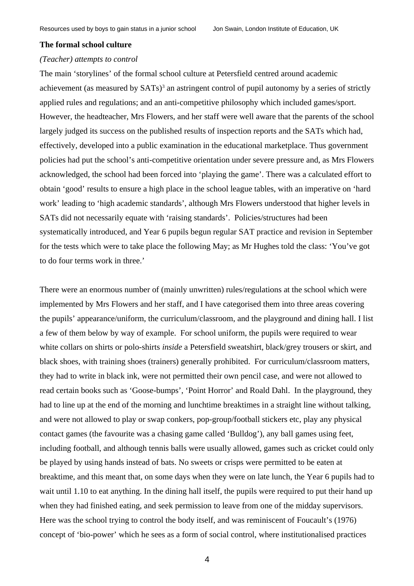#### **The formal school culture**

#### *(Teacher) attempts to control*

The main 'storylines' of the formal school culture at Petersfield centred around academic achievement (as measured by SATs)<sup>[3](#page-21-2)</sup> an astringent control of pupil autonomy by a series of strictly applied rules and regulations; and an anti-competitive philosophy which included games/sport. However, the headteacher, Mrs Flowers, and her staff were well aware that the parents of the school largely judged its success on the published results of inspection reports and the SATs which had, effectively, developed into a public examination in the educational marketplace. Thus government policies had put the school's anti-competitive orientation under severe pressure and, as Mrs Flowers acknowledged, the school had been forced into 'playing the game'. There was a calculated effort to obtain 'good' results to ensure a high place in the school league tables, with an imperative on 'hard work' leading to 'high academic standards', although Mrs Flowers understood that higher levels in SATs did not necessarily equate with 'raising standards'. Policies/structures had been systematically introduced, and Year 6 pupils begun regular SAT practice and revision in September for the tests which were to take place the following May; as Mr Hughes told the class: 'You've got to do four terms work in three.'

There were an enormous number of (mainly unwritten) rules/regulations at the school which were implemented by Mrs Flowers and her staff, and I have categorised them into three areas covering the pupils' appearance/uniform, the curriculum/classroom, and the playground and dining hall. I list a few of them below by way of example. For school uniform, the pupils were required to wear white collars on shirts or polo-shirts *inside* a Petersfield sweatshirt, black/grey trousers or skirt, and black shoes, with training shoes (trainers) generally prohibited. For curriculum/classroom matters, they had to write in black ink, were not permitted their own pencil case, and were not allowed to read certain books such as 'Goose-bumps', 'Point Horror' and Roald Dahl. In the playground, they had to line up at the end of the morning and lunchtime breaktimes in a straight line without talking, and were not allowed to play or swap conkers, pop-group/football stickers etc, play any physical contact games (the favourite was a chasing game called 'Bulldog'), any ball games using feet, including football, and although tennis balls were usually allowed, games such as cricket could only be played by using hands instead of bats. No sweets or crisps were permitted to be eaten at breaktime, and this meant that, on some days when they were on late lunch, the Year 6 pupils had to wait until 1.10 to eat anything. In the dining hall itself, the pupils were required to put their hand up when they had finished eating, and seek permission to leave from one of the midday supervisors. Here was the school trying to control the body itself, and was reminiscent of Foucault's (1976) concept of 'bio-power' which he sees as a form of social control, where institutionalised practices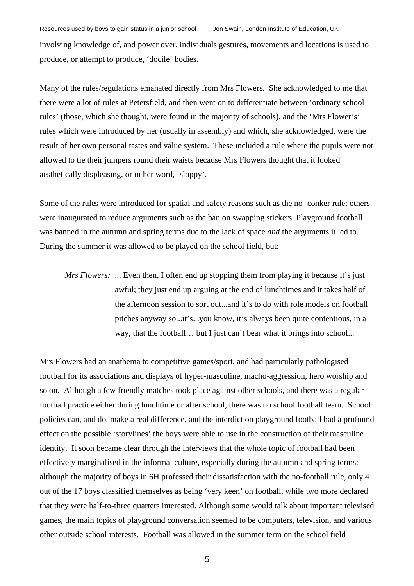involving knowledge of, and power over, individuals gestures, movements and locations is used to produce, or attempt to produce, 'docile' bodies.

Many of the rules/regulations emanated directly from Mrs Flowers. She acknowledged to me that there were a lot of rules at Petersfield, and then went on to differentiate between 'ordinary school rules' (those, which she thought, were found in the majority of schools), and the 'Mrs Flower's' rules which were introduced by her (usually in assembly) and which, she acknowledged, were the result of her own personal tastes and value system. These included a rule where the pupils were not allowed to tie their jumpers round their waists because Mrs Flowers thought that it looked aesthetically displeasing, or in her word, 'sloppy'.

Some of the rules were introduced for spatial and safety reasons such as the no- conker rule; others were inaugurated to reduce arguments such as the ban on swapping stickers. Playground football was banned in the autumn and spring terms due to the lack of space *and* the arguments it led to. During the summer it was allowed to be played on the school field, but:

*Mrs Flowers:* ... Even then, I often end up stopping them from playing it because it's just awful; they just end up arguing at the end of lunchtimes and it takes half of the afternoon session to sort out...and it's to do with role models on football pitches anyway so...it's...you know, it's always been quite contentious, in a way, that the football... but I just can't bear what it brings into school...

Mrs Flowers had an anathema to competitive games/sport, and had particularly pathologised football for its associations and displays of hyper-masculine, macho-aggression, hero worship and so on. Although a few friendly matches took place against other schools, and there was a regular football practice either during lunchtime or after school, there was no school football team. School policies can, and do, make a real difference, and the interdict on playground football had a profound effect on the possible 'storylines' the boys were able to use in the construction of their masculine identity. It soon became clear through the interviews that the whole topic of football had been effectively marginalised in the informal culture, especially during the autumn and spring terms: although the majority of boys in 6H professed their dissatisfaction with the no-football rule, only 4 out of the 17 boys classified themselves as being 'very keen' on football, while two more declared that they were half-to-three quarters interested. Although some would talk about important televised games, the main topics of playground conversation seemed to be computers, television, and various other outside school interests. Football was allowed in the summer term on the school field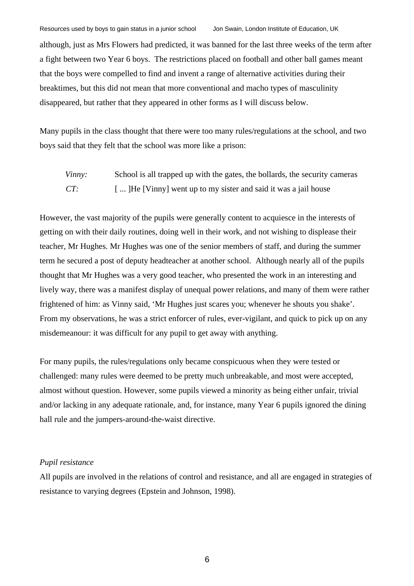although, just as Mrs Flowers had predicted, it was banned for the last three weeks of the term after a fight between two Year 6 boys. The restrictions placed on football and other ball games meant that the boys were compelled to find and invent a range of alternative activities during their breaktimes, but this did not mean that more conventional and macho types of masculinity disappeared, but rather that they appeared in other forms as I will discuss below.

Many pupils in the class thought that there were too many rules/regulations at the school, and two boys said that they felt that the school was more like a prison:

*Vinny:* School is all trapped up with the gates, the bollards, the security cameras *CT*: [ ... ] [He [Vinny] went up to my sister and said it was a jail house

However, the vast majority of the pupils were generally content to acquiesce in the interests of getting on with their daily routines, doing well in their work, and not wishing to displease their teacher, Mr Hughes. Mr Hughes was one of the senior members of staff, and during the summer term he secured a post of deputy headteacher at another school. Although nearly all of the pupils thought that Mr Hughes was a very good teacher, who presented the work in an interesting and lively way, there was a manifest display of unequal power relations, and many of them were rather frightened of him: as Vinny said, 'Mr Hughes just scares you; whenever he shouts you shake'. From my observations, he was a strict enforcer of rules, ever-vigilant, and quick to pick up on any misdemeanour: it was difficult for any pupil to get away with anything.

For many pupils, the rules/regulations only became conspicuous when they were tested or challenged: many rules were deemed to be pretty much unbreakable, and most were accepted, almost without question. However, some pupils viewed a minority as being either unfair, trivial and/or lacking in any adequate rationale, and, for instance, many Year 6 pupils ignored the dining hall rule and the jumpers-around-the-waist directive.

#### *Pupil resistance*

All pupils are involved in the relations of control and resistance, and all are engaged in strategies of resistance to varying degrees (Epstein and Johnson, 1998).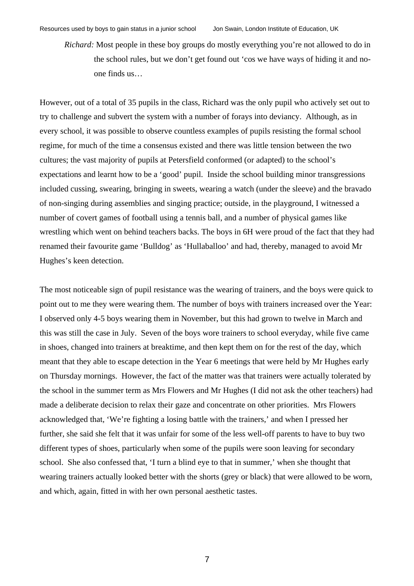*Richard:* Most people in these boy groups do mostly everything you're not allowed to do in the school rules, but we don't get found out 'cos we have ways of hiding it and noone finds us…

However, out of a total of 35 pupils in the class, Richard was the only pupil who actively set out to try to challenge and subvert the system with a number of forays into deviancy. Although, as in every school, it was possible to observe countless examples of pupils resisting the formal school regime, for much of the time a consensus existed and there was little tension between the two cultures; the vast majority of pupils at Petersfield conformed (or adapted) to the school's expectations and learnt how to be a 'good' pupil. Inside the school building minor transgressions included cussing, swearing, bringing in sweets, wearing a watch (under the sleeve) and the bravado of non-singing during assemblies and singing practice; outside, in the playground, I witnessed a number of covert games of football using a tennis ball, and a number of physical games like wrestling which went on behind teachers backs. The boys in 6H were proud of the fact that they had renamed their favourite game 'Bulldog' as 'Hullaballoo' and had, thereby, managed to avoid Mr Hughes's keen detection.

The most noticeable sign of pupil resistance was the wearing of trainers, and the boys were quick to point out to me they were wearing them. The number of boys with trainers increased over the Year: I observed only 4-5 boys wearing them in November, but this had grown to twelve in March and this was still the case in July. Seven of the boys wore trainers to school everyday, while five came in shoes, changed into trainers at breaktime, and then kept them on for the rest of the day, which meant that they able to escape detection in the Year 6 meetings that were held by Mr Hughes early on Thursday mornings. However, the fact of the matter was that trainers were actually tolerated by the school in the summer term as Mrs Flowers and Mr Hughes (I did not ask the other teachers) had made a deliberate decision to relax their gaze and concentrate on other priorities. Mrs Flowers acknowledged that, 'We're fighting a losing battle with the trainers,' and when I pressed her further, she said she felt that it was unfair for some of the less well-off parents to have to buy two different types of shoes, particularly when some of the pupils were soon leaving for secondary school. She also confessed that, 'I turn a blind eye to that in summer,' when she thought that wearing trainers actually looked better with the shorts (grey or black) that were allowed to be worn, and which, again, fitted in with her own personal aesthetic tastes.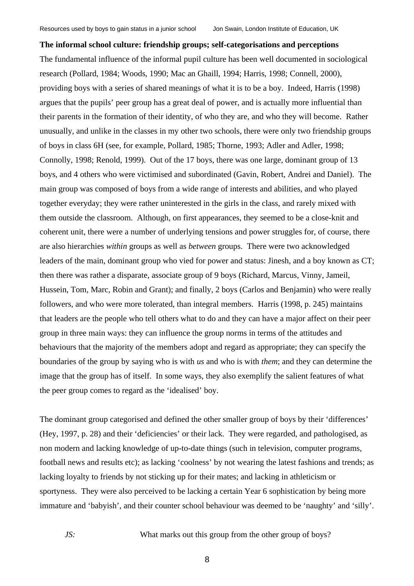**The informal school culture: friendship groups; self-categorisations and perceptions** The fundamental influence of the informal pupil culture has been well documented in sociological research (Pollard, 1984; Woods, 1990; Mac an Ghaill, 1994; Harris, 1998; Connell, 2000), providing boys with a series of shared meanings of what it is to be a boy. Indeed, Harris (1998) argues that the pupils' peer group has a great deal of power, and is actually more influential than their parents in the formation of their identity, of who they are, and who they will become. Rather unusually, and unlike in the classes in my other two schools, there were only two friendship groups of boys in class 6H (see, for example, Pollard, 1985; Thorne, 1993; Adler and Adler, 1998; Connolly, 1998; Renold, 1999). Out of the 17 boys, there was one large, dominant group of 13 boys, and 4 others who were victimised and subordinated (Gavin, Robert, Andrei and Daniel). The main group was composed of boys from a wide range of interests and abilities, and who played together everyday; they were rather uninterested in the girls in the class, and rarely mixed with them outside the classroom. Although, on first appearances, they seemed to be a close-knit and coherent unit, there were a number of underlying tensions and power struggles for, of course, there are also hierarchies *within* groups as well as *between* groups. There were two acknowledged leaders of the main, dominant group who vied for power and status: Jinesh, and a boy known as CT; then there was rather a disparate, associate group of 9 boys (Richard, Marcus, Vinny, Jameil, Hussein, Tom, Marc, Robin and Grant); and finally, 2 boys (Carlos and Benjamin) who were really followers, and who were more tolerated, than integral members. Harris (1998, p. 245) maintains that leaders are the people who tell others what to do and they can have a major affect on their peer group in three main ways: they can influence the group norms in terms of the attitudes and behaviours that the majority of the members adopt and regard as appropriate; they can specify the boundaries of the group by saying who is with *us* and who is with *them*; and they can determine the image that the group has of itself. In some ways, they also exemplify the salient features of what the peer group comes to regard as the 'idealised' boy.

The dominant group categorised and defined the other smaller group of boys by their 'differences' (Hey, 1997, p. 28) and their 'deficiencies' or their lack. They were regarded, and pathologised, as non modern and lacking knowledge of up-to-date things (such in television, computer programs, football news and results etc); as lacking 'coolness' by not wearing the latest fashions and trends; as lacking loyalty to friends by not sticking up for their mates; and lacking in athleticism or sportyness. They were also perceived to be lacking a certain Year 6 sophistication by being more immature and 'babyish', and their counter school behaviour was deemed to be 'naughty' and 'silly'.

*JS:* What marks out this group from the other group of boys?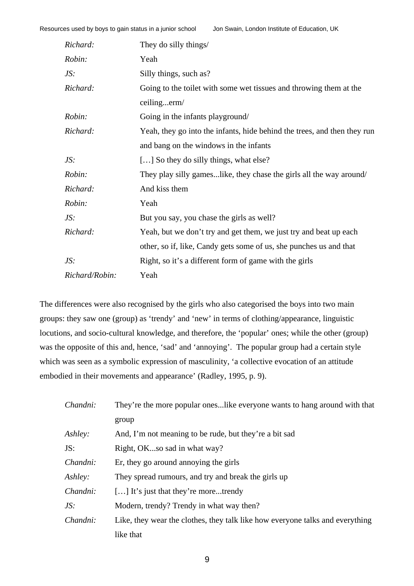Resources used by boys to gain status in a junior school Jon Swain, London Institute of Education, UK

| Richard:       | They do silly things/                                                    |
|----------------|--------------------------------------------------------------------------|
| Robin:         | Yeah                                                                     |
| JS:            | Silly things, such as?                                                   |
| Richard:       | Going to the toilet with some wet tissues and throwing them at the       |
|                | ceilingerm/                                                              |
| Robin:         | Going in the infants playground/                                         |
| Richard:       | Yeah, they go into the infants, hide behind the trees, and then they run |
|                | and bang on the windows in the infants                                   |
| JS:            | [] So they do silly things, what else?                                   |
| Robin:         | They play silly games like, they chase the girls all the way around/     |
| Richard:       | And kiss them                                                            |
| Robin:         | Yeah                                                                     |
| JS:            | But you say, you chase the girls as well?                                |
| Richard:       | Yeah, but we don't try and get them, we just try and beat up each        |
|                | other, so if, like, Candy gets some of us, she punches us and that       |
| JS:            | Right, so it's a different form of game with the girls                   |
| Richard/Robin: | Yeah                                                                     |

The differences were also recognised by the girls who also categorised the boys into two main groups: they saw one (group) as 'trendy' and 'new' in terms of clothing/appearance, linguistic locutions, and socio-cultural knowledge, and therefore, the 'popular' ones; while the other (group) was the opposite of this and, hence, 'sad' and 'annoying'. The popular group had a certain style which was seen as a symbolic expression of masculinity, 'a collective evocation of an attitude embodied in their movements and appearance' (Radley, 1995, p. 9).

| Chandni: | They're the more popular oneslike everyone wants to hang around with that     |
|----------|-------------------------------------------------------------------------------|
|          | group                                                                         |
| Ashley:  | And, I'm not meaning to be rude, but they're a bit sad                        |
| JS:      | Right, OKso sad in what way?                                                  |
| Chandni: | Er, they go around annoying the girls                                         |
| Ashley:  | They spread rumours, and try and break the girls up                           |
| Chandni: | [] It's just that they're moretrendy                                          |
| JS:      | Modern, trendy? Trendy in what way then?                                      |
| Chandni: | Like, they wear the clothes, they talk like how everyone talks and everything |
|          | like that                                                                     |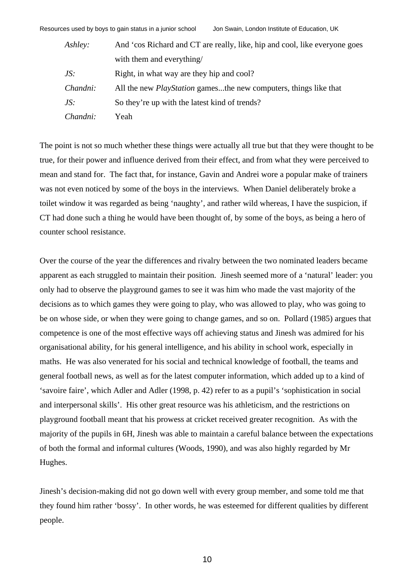| Ashley:  | And 'cos Richard and CT are really, like, hip and cool, like everyone goes |
|----------|----------------------------------------------------------------------------|
|          | with them and everything/                                                  |
| JS:      | Right, in what way are they hip and cool?                                  |
| Chandni: | All the new <i>PlayStation</i> gamesthe new computers, things like that    |
| JS:      | So they're up with the latest kind of trends?                              |
| Chandni: | Yeah                                                                       |

The point is not so much whether these things were actually all true but that they were thought to be true, for their power and influence derived from their effect, and from what they were perceived to mean and stand for. The fact that, for instance, Gavin and Andrei wore a popular make of trainers was not even noticed by some of the boys in the interviews. When Daniel deliberately broke a toilet window it was regarded as being 'naughty', and rather wild whereas, I have the suspicion, if CT had done such a thing he would have been thought of, by some of the boys, as being a hero of counter school resistance.

Over the course of the year the differences and rivalry between the two nominated leaders became apparent as each struggled to maintain their position. Jinesh seemed more of a 'natural' leader: you only had to observe the playground games to see it was him who made the vast majority of the decisions as to which games they were going to play, who was allowed to play, who was going to be on whose side, or when they were going to change games, and so on. Pollard (1985) argues that competence is one of the most effective ways off achieving status and Jinesh was admired for his organisational ability, for his general intelligence, and his ability in school work, especially in maths. He was also venerated for his social and technical knowledge of football, the teams and general football news, as well as for the latest computer information, which added up to a kind of 'savoire faire', which Adler and Adler (1998, p. 42) refer to as a pupil's 'sophistication in social and interpersonal skills'. His other great resource was his athleticism, and the restrictions on playground football meant that his prowess at cricket received greater recognition. As with the majority of the pupils in 6H, Jinesh was able to maintain a careful balance between the expectations of both the formal and informal cultures (Woods, 1990), and was also highly regarded by Mr Hughes.

Jinesh's decision-making did not go down well with every group member, and some told me that they found him rather 'bossy'. In other words, he was esteemed for different qualities by different people.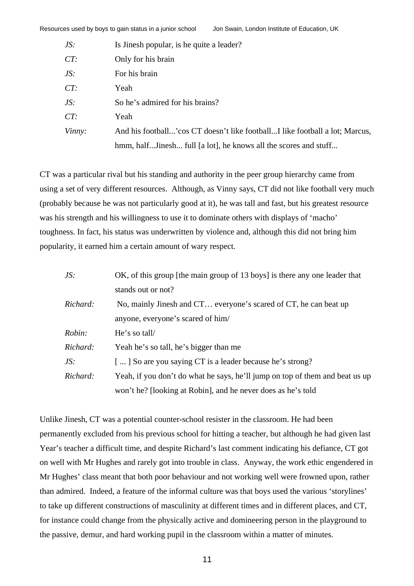| JS:    | Is Jinesh popular, is he quite a leader?                                    |
|--------|-----------------------------------------------------------------------------|
| CT:    | Only for his brain                                                          |
| JS:    | For his brain                                                               |
| CT:    | Yeah                                                                        |
| JS:    | So he's admired for his brains?                                             |
| CT:    | Yeah                                                                        |
| Vinny: | And his football'cos CT doesn't like footballI like football a lot; Marcus, |
|        | hmm, halfJinesh full [a lot], he knows all the scores and stuff             |

CT was a particular rival but his standing and authority in the peer group hierarchy came from using a set of very different resources. Although, as Vinny says, CT did not like football very much (probably because he was not particularly good at it), he was tall and fast, but his greatest resource was his strength and his willingness to use it to dominate others with displays of 'macho' toughness. In fact, his status was underwritten by violence and, although this did not bring him popularity, it earned him a certain amount of wary respect.

| JS:      | OK, of this group [the main group of 13 boys] is there any one leader that   |
|----------|------------------------------------------------------------------------------|
|          | stands out or not?                                                           |
| Richard: | No, mainly Jinesh and CT everyone's scared of CT, he can beat up             |
|          | anyone, everyone's scared of him/                                            |
| Robin:   | He's so tall/                                                                |
| Richard: | Yeah he's so tall, he's bigger than me                                       |
| JS:      | [] So are you saying CT is a leader because he's strong?                     |
| Richard: | Yeah, if you don't do what he says, he'll jump on top of them and beat us up |
|          | won't he? [looking at Robin], and he never does as he's told                 |
|          |                                                                              |

Unlike Jinesh, CT was a potential counter-school resister in the classroom. He had been permanently excluded from his previous school for hitting a teacher, but although he had given last Year's teacher a difficult time, and despite Richard's last comment indicating his defiance, CT got on well with Mr Hughes and rarely got into trouble in class. Anyway, the work ethic engendered in Mr Hughes' class meant that both poor behaviour and not working well were frowned upon, rather than admired. Indeed, a feature of the informal culture was that boys used the various 'storylines' to take up different constructions of masculinity at different times and in different places, and CT, for instance could change from the physically active and domineering person in the playground to the passive, demur, and hard working pupil in the classroom within a matter of minutes.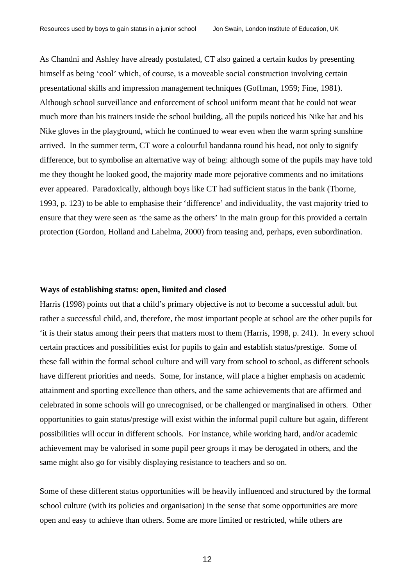As Chandni and Ashley have already postulated, CT also gained a certain kudos by presenting himself as being 'cool' which, of course, is a moveable social construction involving certain presentational skills and impression management techniques (Goffman, 1959; Fine, 1981). Although school surveillance and enforcement of school uniform meant that he could not wear much more than his trainers inside the school building, all the pupils noticed his Nike hat and his Nike gloves in the playground, which he continued to wear even when the warm spring sunshine arrived. In the summer term, CT wore a colourful bandanna round his head, not only to signify difference, but to symbolise an alternative way of being: although some of the pupils may have told me they thought he looked good, the majority made more pejorative comments and no imitations ever appeared. Paradoxically, although boys like CT had sufficient status in the bank (Thorne, 1993, p. 123) to be able to emphasise their 'difference' and individuality, the vast majority tried to ensure that they were seen as 'the same as the others' in the main group for this provided a certain protection (Gordon, Holland and Lahelma, 2000) from teasing and, perhaps, even subordination.

#### **Ways of establishing status: open, limited and closed**

Harris (1998) points out that a child's primary objective is not to become a successful adult but rather a successful child, and, therefore, the most important people at school are the other pupils for 'it is their status among their peers that matters most to them (Harris, 1998, p. 241). In every school certain practices and possibilities exist for pupils to gain and establish status/prestige. Some of these fall within the formal school culture and will vary from school to school, as different schools have different priorities and needs. Some, for instance, will place a higher emphasis on academic attainment and sporting excellence than others, and the same achievements that are affirmed and celebrated in some schools will go unrecognised, or be challenged or marginalised in others. Other opportunities to gain status/prestige will exist within the informal pupil culture but again, different possibilities will occur in different schools. For instance, while working hard, and/or academic achievement may be valorised in some pupil peer groups it may be derogated in others, and the same might also go for visibly displaying resistance to teachers and so on.

Some of these different status opportunities will be heavily influenced and structured by the formal school culture (with its policies and organisation) in the sense that some opportunities are more open and easy to achieve than others. Some are more limited or restricted, while others are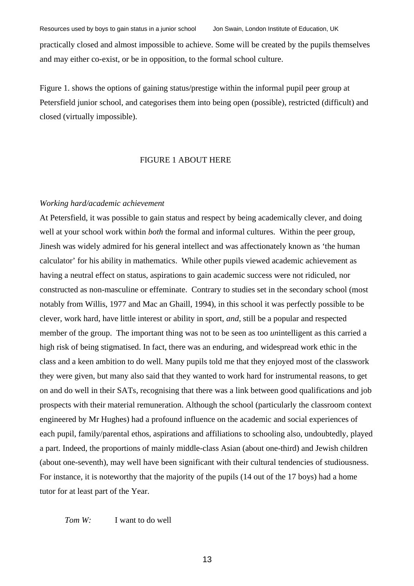practically closed and almost impossible to achieve. Some will be created by the pupils themselves and may either co-exist, or be in opposition, to the formal school culture.

Figure 1. shows the options of gaining status/prestige within the informal pupil peer group at Petersfield junior school, and categorises them into being open (possible), restricted (difficult) and closed (virtually impossible).

#### FIGURE 1 ABOUT HERE

#### *Working hard/academic achievement*

At Petersfield, it was possible to gain status and respect by being academically clever, and doing well at your school work within *both* the formal and informal cultures. Within the peer group, Jinesh was widely admired for his general intellect and was affectionately known as 'the human calculator' for his ability in mathematics. While other pupils viewed academic achievement as having a neutral effect on status, aspirations to gain academic success were not ridiculed, nor constructed as non-masculine or effeminate. Contrary to studies set in the secondary school (most notably from Willis, 1977 and Mac an Ghaill, 1994), in this school it was perfectly possible to be clever, work hard, have little interest or ability in sport, *and*, still be a popular and respected member of the group. The important thing was not to be seen as too *un*intelligent as this carried a high risk of being stigmatised. In fact, there was an enduring, and widespread work ethic in the class and a keen ambition to do well. Many pupils told me that they enjoyed most of the classwork they were given, but many also said that they wanted to work hard for instrumental reasons, to get on and do well in their SATs, recognising that there was a link between good qualifications and job prospects with their material remuneration. Although the school (particularly the classroom context engineered by Mr Hughes) had a profound influence on the academic and social experiences of each pupil, family/parental ethos, aspirations and affiliations to schooling also, undoubtedly, played a part. Indeed, the proportions of mainly middle-class Asian (about one-third) and Jewish children (about one-seventh), may well have been significant with their cultural tendencies of studiousness. For instance, it is noteworthy that the majority of the pupils (14 out of the 17 boys) had a home tutor for at least part of the Year.

*Tom W:* I want to do well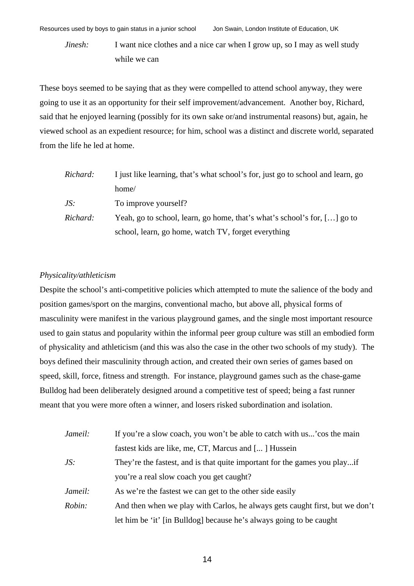*Jinesh:* I want nice clothes and a nice car when I grow up, so I may as well study while we can

These boys seemed to be saying that as they were compelled to attend school anyway, they were going to use it as an opportunity for their self improvement/advancement. Another boy, Richard, said that he enjoyed learning (possibly for its own sake or/and instrumental reasons) but, again, he viewed school as an expedient resource; for him, school was a distinct and discrete world, separated from the life he led at home.

| Richard: | I just like learning, that's what school's for, just go to school and learn, go |
|----------|---------------------------------------------------------------------------------|
|          | home/                                                                           |
| JS:      | To improve yourself?                                                            |
| Richard: | Yeah, go to school, learn, go home, that's what's school's for, [] go to        |
|          | school, learn, go home, watch TV, forget everything                             |

## *Physicality/athleticism*

Despite the school's anti-competitive policies which attempted to mute the salience of the body and position games/sport on the margins, conventional macho, but above all, physical forms of masculinity were manifest in the various playground games, and the single most important resource used to gain status and popularity within the informal peer group culture was still an embodied form of physicality and athleticism (and this was also the case in the other two schools of my study). The boys defined their masculinity through action, and created their own series of games based on speed, skill, force, fitness and strength. For instance, playground games such as the chase-game Bulldog had been deliberately designed around a competitive test of speed; being a fast runner meant that you were more often a winner, and losers risked subordination and isolation.

| Jameil: | If you're a slow coach, you won't be able to catch with us' cos the main     |
|---------|------------------------------------------------------------------------------|
|         | fastest kids are like, me, CT, Marcus and [] Hussein                         |
| JS:     | They're the fastest, and is that quite important for the games you playif    |
|         | you're a real slow coach you get caught?                                     |
| Jameil: | As we're the fastest we can get to the other side easily                     |
| Robin:  | And then when we play with Carlos, he always gets caught first, but we don't |
|         | let him be 'it' [in Bulldog] because he's always going to be caught          |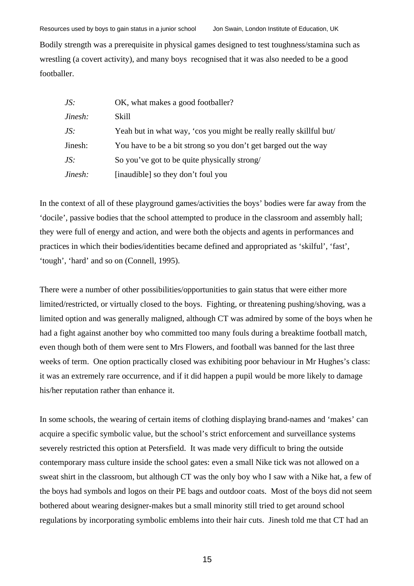Bodily strength was a prerequisite in physical games designed to test toughness/stamina such as wrestling (a covert activity), and many boys recognised that it was also needed to be a good footballer.

| JS:     | OK, what makes a good footballer?                                   |
|---------|---------------------------------------------------------------------|
| Jinesh: | Skill                                                               |
| JS:     | Yeah but in what way, 'cos you might be really really skillful but/ |
| Jinesh: | You have to be a bit strong so you don't get barged out the way     |
| JS:     | So you've got to be quite physically strong/                        |
| Jinesh: | [inaudible] so they don't foul you                                  |

In the context of all of these playground games/activities the boys' bodies were far away from the 'docile', passive bodies that the school attempted to produce in the classroom and assembly hall; they were full of energy and action, and were both the objects and agents in performances and practices in which their bodies/identities became defined and appropriated as 'skilful', 'fast', 'tough', 'hard' and so on (Connell, 1995).

There were a number of other possibilities/opportunities to gain status that were either more limited/restricted, or virtually closed to the boys. Fighting, or threatening pushing/shoving, was a limited option and was generally maligned, although CT was admired by some of the boys when he had a fight against another boy who committed too many fouls during a breaktime football match, even though both of them were sent to Mrs Flowers, and football was banned for the last three weeks of term. One option practically closed was exhibiting poor behaviour in Mr Hughes's class: it was an extremely rare occurrence, and if it did happen a pupil would be more likely to damage his/her reputation rather than enhance it.

In some schools, the wearing of certain items of clothing displaying brand-names and 'makes' can acquire a specific symbolic value, but the school's strict enforcement and surveillance systems severely restricted this option at Petersfield. It was made very difficult to bring the outside contemporary mass culture inside the school gates: even a small Nike tick was not allowed on a sweat shirt in the classroom, but although CT was the only boy who I saw with a Nike hat, a few of the boys had symbols and logos on their PE bags and outdoor coats. Most of the boys did not seem bothered about wearing designer-makes but a small minority still tried to get around school regulations by incorporating symbolic emblems into their hair cuts. Jinesh told me that CT had an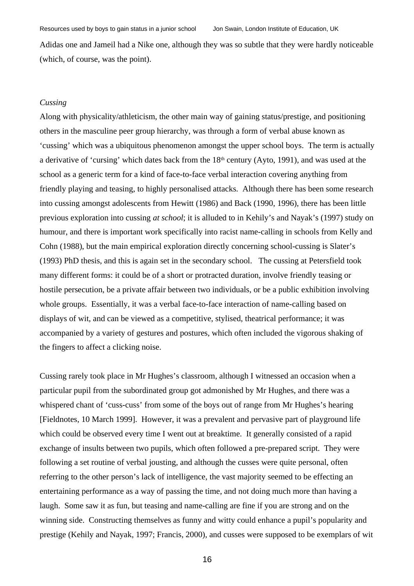Adidas one and Jameil had a Nike one, although they was so subtle that they were hardly noticeable (which, of course, was the point).

#### *Cussing*

Along with physicality/athleticism, the other main way of gaining status/prestige, and positioning others in the masculine peer group hierarchy, was through a form of verbal abuse known as 'cussing' which was a ubiquitous phenomenon amongst the upper school boys. The term is actually a derivative of 'cursing' which dates back from the 18<sup>th</sup> century (Ayto, 1991), and was used at the school as a generic term for a kind of face-to-face verbal interaction covering anything from friendly playing and teasing, to highly personalised attacks. Although there has been some research into cussing amongst adolescents from Hewitt (1986) and Back (1990, 1996), there has been little previous exploration into cussing *at school*; it is alluded to in Kehily's and Nayak's (1997) study on humour, and there is important work specifically into racist name-calling in schools from Kelly and Cohn (1988), but the main empirical exploration directly concerning school-cussing is Slater's (1993) PhD thesis, and this is again set in the secondary school. The cussing at Petersfield took many different forms: it could be of a short or protracted duration, involve friendly teasing or hostile persecution, be a private affair between two individuals, or be a public exhibition involving whole groups. Essentially, it was a verbal face-to-face interaction of name-calling based on displays of wit, and can be viewed as a competitive, stylised, theatrical performance; it was accompanied by a variety of gestures and postures, which often included the vigorous shaking of the fingers to affect a clicking noise.

Cussing rarely took place in Mr Hughes's classroom, although I witnessed an occasion when a particular pupil from the subordinated group got admonished by Mr Hughes, and there was a whispered chant of 'cuss-cuss' from some of the boys out of range from Mr Hughes's hearing [Fieldnotes, 10 March 1999]. However, it was a prevalent and pervasive part of playground life which could be observed every time I went out at breaktime. It generally consisted of a rapid exchange of insults between two pupils, which often followed a pre-prepared script. They were following a set routine of verbal jousting, and although the cusses were quite personal, often referring to the other person's lack of intelligence, the vast majority seemed to be effecting an entertaining performance as a way of passing the time, and not doing much more than having a laugh. Some saw it as fun, but teasing and name-calling are fine if you are strong and on the winning side. Constructing themselves as funny and witty could enhance a pupil's popularity and prestige (Kehily and Nayak, 1997; Francis, 2000), and cusses were supposed to be exemplars of wit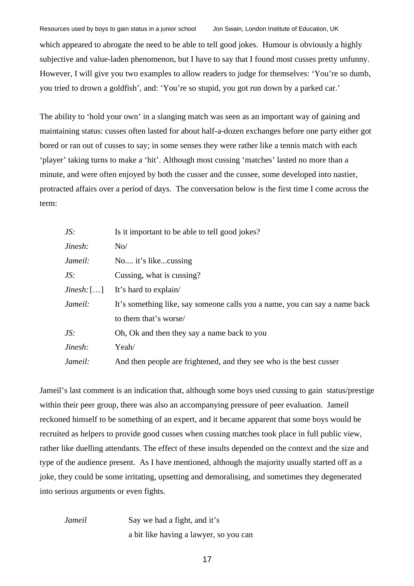which appeared to abrogate the need to be able to tell good jokes. Humour is obviously a highly subjective and value-laden phenomenon, but I have to say that I found most cusses pretty unfunny. However, I will give you two examples to allow readers to judge for themselves: 'You're so dumb, you tried to drown a goldfish', and: 'You're so stupid, you got run down by a parked car.'

The ability to 'hold your own' in a slanging match was seen as an important way of gaining and maintaining status: cusses often lasted for about half-a-dozen exchanges before one party either got bored or ran out of cusses to say; in some senses they were rather like a tennis match with each 'player' taking turns to make a 'hit'. Although most cussing 'matches' lasted no more than a minute, and were often enjoyed by both the cusser and the cussee, some developed into nastier, protracted affairs over a period of days. The conversation below is the first time I come across the term:

| JS:                | Is it important to be able to tell good jokes?                             |
|--------------------|----------------------------------------------------------------------------|
| Jinesh:            | No/                                                                        |
| Jameil:            | No it's likecussing                                                        |
| JS:                | Cussing, what is cussing?                                                  |
| <i>Jinesh</i> : [] | It's hard to explain/                                                      |
| Jameil:            | It's something like, say someone calls you a name, you can say a name back |
|                    | to them that's worse/                                                      |
| JS:                | Oh, Ok and then they say a name back to you                                |
| Jinesh:            | Yeah/                                                                      |
| Jameil:            | And then people are frightened, and they see who is the best cusser        |

Jameil's last comment is an indication that, although some boys used cussing to gain status/prestige within their peer group, there was also an accompanying pressure of peer evaluation. Jameil reckoned himself to be something of an expert, and it became apparent that some boys would be recruited as helpers to provide good cusses when cussing matches took place in full public view, rather like duelling attendants. The effect of these insults depended on the context and the size and type of the audience present. As I have mentioned, although the majority usually started off as a joke, they could be some irritating, upsetting and demoralising, and sometimes they degenerated into serious arguments or even fights.

*Jameil* Say we had a fight, and it's a bit like having a lawyer, so you can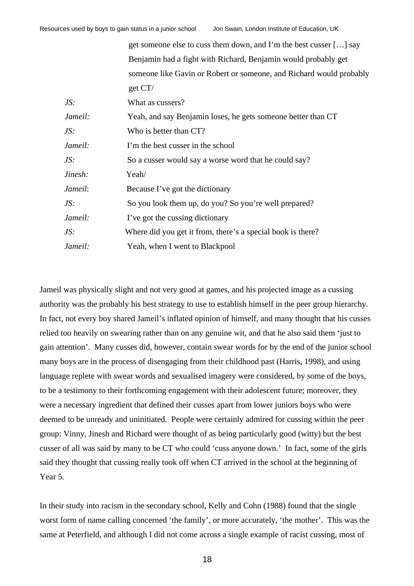|         | get someone else to cuss them down, and I'm the best cusser [] say  |
|---------|---------------------------------------------------------------------|
|         | Benjamin had a fight with Richard, Benjamin would probably get      |
|         | someone like Gavin or Robert or someone, and Richard would probably |
|         | get CT/                                                             |
| JS:     | What as cussers?                                                    |
| Jameil: | Yeah, and say Benjamin loses, he gets someone better than CT        |
| JS:     | Who is better than CT?                                              |
| Jameil: | I'm the best cusser in the school                                   |
| JS:     | So a cusser would say a worse word that he could say?               |
| Jinesh: | Yeah/                                                               |
| Jameil: | Because I've got the dictionary                                     |
| JS:     | So you look them up, do you? So you're well prepared?               |
| Jameil: | I've got the cussing dictionary                                     |
| JS:     | Where did you get it from, there's a special book is there?         |
| Jameil: | Yeah, when I went to Blackpool                                      |

Jameil was physically slight and not very good at games, and his projected image as a cussing authority was the probably his best strategy to use to establish himself in the peer group hierarchy. In fact, not every boy shared Jameil's inflated opinion of himself, and many thought that his cusses relied too heavily on swearing rather than on any genuine wit, and that he also said them 'just to gain attention'. Many cusses did, however, contain swear words for by the end of the junior school many boys are in the process of disengaging from their childhood past (Harris, 1998), and using language replete with swear words and sexualised imagery were considered, by some of the boys, to be a testimony to their forthcoming engagement with their adolescent future; moreover, they were a necessary ingredient that defined their cusses apart from lower juniors boys who were deemed to be unready and uninitiated. People were certainly admired for cussing within the peer group: Vinny, Jinesh and Richard were thought of as being particularly good (witty) but the best cusser of all was said by many to be CT who could 'cuss anyone down.' In fact, some of the girls said they thought that cussing really took off when CT arrived in the school at the beginning of Year 5.

In their study into racism in the secondary school, Kelly and Cohn (1988) found that the single worst form of name calling concerned 'the family', or more accurately, 'the mother'. This was the same at Peterfield, and although I did not come across a single example of racist cussing, most of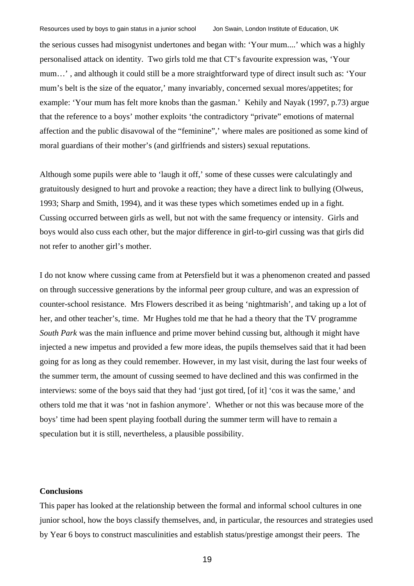the serious cusses had misogynist undertones and began with: 'Your mum....' which was a highly personalised attack on identity. Two girls told me that CT's favourite expression was, 'Your mum…' , and although it could still be a more straightforward type of direct insult such as: 'Your mum's belt is the size of the equator,' many invariably, concerned sexual mores/appetites; for example: 'Your mum has felt more knobs than the gasman.' Kehily and Nayak (1997, p.73) argue that the reference to a boys' mother exploits 'the contradictory "private" emotions of maternal affection and the public disavowal of the "feminine",' where males are positioned as some kind of moral guardians of their mother's (and girlfriends and sisters) sexual reputations.

Although some pupils were able to 'laugh it off,' some of these cusses were calculatingly and gratuitously designed to hurt and provoke a reaction; they have a direct link to bullying (Olweus, 1993; Sharp and Smith, 1994), and it was these types which sometimes ended up in a fight. Cussing occurred between girls as well, but not with the same frequency or intensity. Girls and boys would also cuss each other, but the major difference in girl-to-girl cussing was that girls did not refer to another girl's mother.

I do not know where cussing came from at Petersfield but it was a phenomenon created and passed on through successive generations by the informal peer group culture, and was an expression of counter-school resistance. Mrs Flowers described it as being 'nightmarish', and taking up a lot of her, and other teacher's, time. Mr Hughes told me that he had a theory that the TV programme *South Park* was the main influence and prime mover behind cussing but, although it might have injected a new impetus and provided a few more ideas, the pupils themselves said that it had been going for as long as they could remember. However, in my last visit, during the last four weeks of the summer term, the amount of cussing seemed to have declined and this was confirmed in the interviews: some of the boys said that they had 'just got tired, [of it] 'cos it was the same,' and others told me that it was 'not in fashion anymore'. Whether or not this was because more of the boys' time had been spent playing football during the summer term will have to remain a speculation but it is still, nevertheless, a plausible possibility.

# **Conclusions**

This paper has looked at the relationship between the formal and informal school cultures in one junior school, how the boys classify themselves, and, in particular, the resources and strategies used by Year 6 boys to construct masculinities and establish status/prestige amongst their peers. The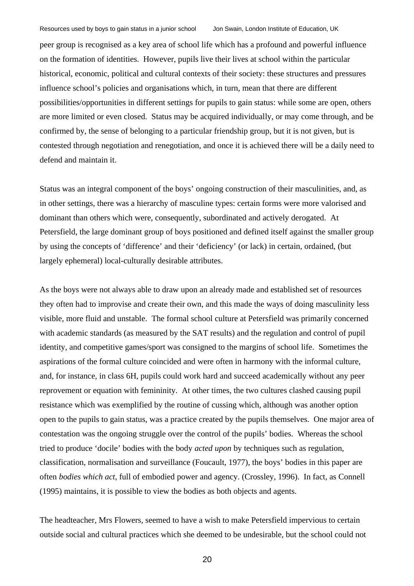peer group is recognised as a key area of school life which has a profound and powerful influence on the formation of identities. However, pupils live their lives at school within the particular historical, economic, political and cultural contexts of their society: these structures and pressures influence school's policies and organisations which, in turn, mean that there are different possibilities/opportunities in different settings for pupils to gain status: while some are open, others are more limited or even closed. Status may be acquired individually, or may come through, and be confirmed by, the sense of belonging to a particular friendship group, but it is not given, but is contested through negotiation and renegotiation, and once it is achieved there will be a daily need to defend and maintain it.

Status was an integral component of the boys' ongoing construction of their masculinities, and, as in other settings, there was a hierarchy of masculine types: certain forms were more valorised and dominant than others which were, consequently, subordinated and actively derogated. At Petersfield, the large dominant group of boys positioned and defined itself against the smaller group by using the concepts of 'difference' and their 'deficiency' (or lack) in certain, ordained, (but largely ephemeral) local-culturally desirable attributes.

As the boys were not always able to draw upon an already made and established set of resources they often had to improvise and create their own, and this made the ways of doing masculinity less visible, more fluid and unstable. The formal school culture at Petersfield was primarily concerned with academic standards (as measured by the SAT results) and the regulation and control of pupil identity, and competitive games/sport was consigned to the margins of school life. Sometimes the aspirations of the formal culture coincided and were often in harmony with the informal culture, and, for instance, in class 6H, pupils could work hard and succeed academically without any peer reprovement or equation with femininity. At other times, the two cultures clashed causing pupil resistance which was exemplified by the routine of cussing which, although was another option open to the pupils to gain status, was a practice created by the pupils themselves. One major area of contestation was the ongoing struggle over the control of the pupils' bodies. Whereas the school tried to produce 'docile' bodies with the body *acted upon* by techniques such as regulation, classification, normalisation and surveillance (Foucault, 1977), the boys' bodies in this paper are often *bodies which act*, full of embodied power and agency. (Crossley, 1996). In fact, as Connell (1995) maintains, it is possible to view the bodies as both objects and agents.

The headteacher, Mrs Flowers, seemed to have a wish to make Petersfield impervious to certain outside social and cultural practices which she deemed to be undesirable, but the school could not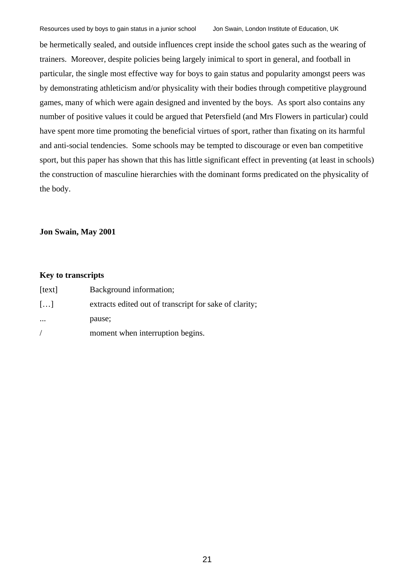be hermetically sealed, and outside influences crept inside the school gates such as the wearing of trainers. Moreover, despite policies being largely inimical to sport in general, and football in particular, the single most effective way for boys to gain status and popularity amongst peers was by demonstrating athleticism and/or physicality with their bodies through competitive playground games, many of which were again designed and invented by the boys. As sport also contains any number of positive values it could be argued that Petersfield (and Mrs Flowers in particular) could have spent more time promoting the beneficial virtues of sport, rather than fixating on its harmful and anti-social tendencies. Some schools may be tempted to discourage or even ban competitive sport, but this paper has shown that this has little significant effect in preventing (at least in schools) the construction of masculine hierarchies with the dominant forms predicated on the physicality of the body.

# **Jon Swain, May 2001**

#### **Key to transcripts**

| text                  | Background information;                                |
|-----------------------|--------------------------------------------------------|
| $\lceil \dots \rceil$ | extracts edited out of transcript for sake of clarity; |
| $\cdots$              | pause;                                                 |
|                       | moment when interruption begins.                       |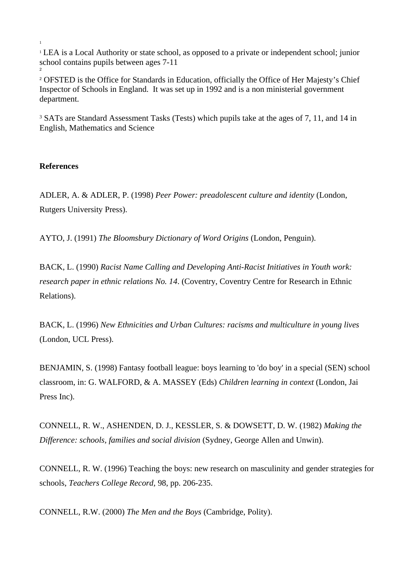<sup>1</sup> LEA is a Local Authority or state school, as opposed to a private or independent school; junior school contains pupils between ages 7-11

<sup>2</sup> OFSTED is the Office for Standards in Education, officially the Office of Her Majesty's Chief Inspector of Schools in England. It was set up in 1992 and is a non ministerial government department.

<span id="page-21-2"></span><sup>3</sup> SATs are Standard Assessment Tasks (Tests) which pupils take at the ages of 7, 11, and 14 in English, Mathematics and Science

# **References**

<span id="page-21-0"></span>1

<span id="page-21-1"></span>2

ADLER, A. & ADLER, P. (1998) *Peer Power: preadolescent culture and identity* (London, Rutgers University Press).

AYTO, J. (1991) *The Bloomsbury Dictionary of Word Origins* (London, Penguin).

BACK, L. (1990) *Racist Name Calling and Developing Anti-Racist Initiatives in Youth work: research paper in ethnic relations No. 14*. (Coventry, Coventry Centre for Research in Ethnic Relations).

BACK, L. (1996) *New Ethnicities and Urban Cultures: racisms and multiculture in young lives* (London, UCL Press).

BENJAMIN, S. (1998) Fantasy football league: boys learning to 'do boy' in a special (SEN) school classroom, in: G. WALFORD, & A. MASSEY (Eds) *Children learning in context* (London, Jai Press Inc).

CONNELL, R. W., ASHENDEN, D. J., KESSLER, S. & DOWSETT, D. W. (1982) *Making the Difference: schools, families and social division* (Sydney, George Allen and Unwin).

CONNELL, R. W. (1996) Teaching the boys: new research on masculinity and gender strategies for schools, *Teachers College Record,* 98, pp. 206-235.

CONNELL, R.W. (2000) *The Men and the Boys* (Cambridge, Polity).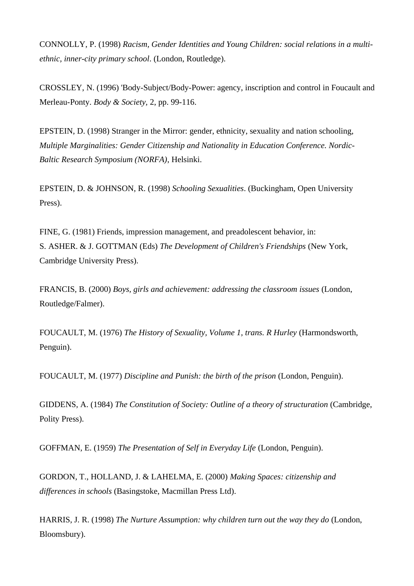CONNOLLY, P. (1998) *Racism, Gender Identities and Young Children: social relations in a multiethnic, inner-city primary school*. (London, Routledge).

CROSSLEY, N. (1996) 'Body-Subject/Body-Power: agency, inscription and control in Foucault and Merleau-Ponty. *Body & Society,* 2, pp. 99-116.

EPSTEIN, D. (1998) Stranger in the Mirror: gender, ethnicity, sexuality and nation schooling, *Multiple Marginalities: Gender Citizenship and Nationality in Education Conference. Nordic-Baltic Research Symposium (NORFA)*, Helsinki.

EPSTEIN, D. & JOHNSON, R. (1998) *Schooling Sexualities*. (Buckingham, Open University Press).

FINE, G. (1981) Friends, impression management, and preadolescent behavior, in: S. ASHER. & J. GOTTMAN (Eds) *The Development of Children's Friendships* (New York, Cambridge University Press).

FRANCIS, B. (2000) *Boys, girls and achievement: addressing the classroom issues* (London, Routledge/Falmer).

FOUCAULT, M. (1976) *The History of Sexuality, Volume 1, trans. R Hurley* (Harmondsworth, Penguin).

FOUCAULT, M. (1977) *Discipline and Punish: the birth of the prison* (London, Penguin).

GIDDENS, A. (1984) *The Constitution of Society: Outline of a theory of structuration* (Cambridge, Polity Press).

GOFFMAN, E. (1959) *The Presentation of Self in Everyday Life* (London, Penguin).

GORDON, T., HOLLAND, J. & LAHELMA, E. (2000) *Making Spaces: citizenship and differences in schools* (Basingstoke, Macmillan Press Ltd).

HARRIS, J. R. (1998) *The Nurture Assumption: why children turn out the way they do* (London, Bloomsbury).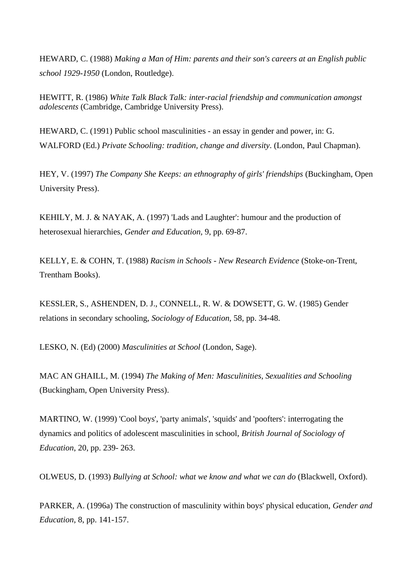HEWARD, C. (1988) *Making a Man of Him: parents and their son's careers at an English public school 1929-1950* (London, Routledge).

HEWITT, R. (1986) *White Talk Black Talk: inter-racial friendship and communication amongst adolescents* (Cambridge, Cambridge University Press).

HEWARD, C. (1991) Public school masculinities - an essay in gender and power, in: G. WALFORD (Ed.) *Private Schooling: tradition, change and diversity*. (London, Paul Chapman).

HEY, V. (1997) *The Company She Keeps: an ethnography of girls' friendships* (Buckingham, Open University Press).

KEHILY, M. J. & NAYAK, A. (1997) 'Lads and Laughter': humour and the production of heterosexual hierarchies, *Gender and Education,* 9, pp. 69-87.

KELLY, E. & COHN, T. (1988) *Racism in Schools - New Research Evidence* (Stoke-on-Trent, Trentham Books).

KESSLER, S., ASHENDEN, D. J., CONNELL, R. W. & DOWSETT, G. W. (1985) Gender relations in secondary schooling, *Sociology of Education,* 58, pp. 34-48.

LESKO, N. (Ed) (2000) *Masculinities at School* (London, Sage).

MAC AN GHAILL, M. (1994) *The Making of Men: Masculinities, Sexualities and Schooling* (Buckingham, Open University Press).

MARTINO, W. (1999) 'Cool boys', 'party animals', 'squids' and 'poofters': interrogating the dynamics and politics of adolescent masculinities in school, *British Journal of Sociology of Education*, 20, pp. 239- 263.

OLWEUS, D. (1993) *Bullying at School: what we know and what we can do* (Blackwell, Oxford).

PARKER, A. (1996a) The construction of masculinity within boys' physical education, *Gender and Education*, 8, pp. 141-157.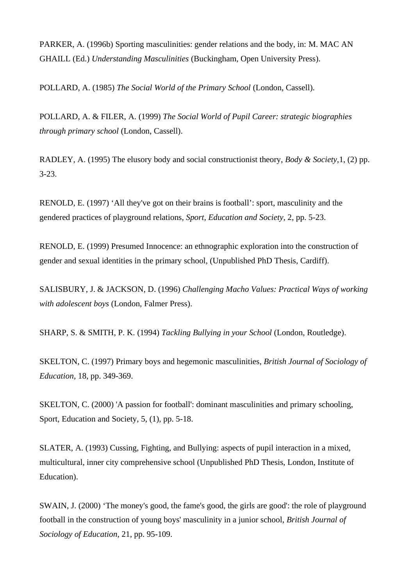PARKER, A. (1996b) Sporting masculinities: gender relations and the body, in: M. MAC AN GHAILL (Ed.) *Understanding Masculinities* (Buckingham, Open University Press).

POLLARD, A. (1985) *The Social World of the Primary School* (London, Cassell).

POLLARD, A. & FILER, A. (1999) *The Social World of Pupil Career: strategic biographies through primary school* (London, Cassell).

RADLEY, A. (1995) The elusory body and social constructionist theory, *Body & Society*,1, (2) pp. 3-23.

RENOLD, E. (1997) 'All they've got on their brains is football': sport, masculinity and the gendered practices of playground relations, *Sport, Education and Society,* 2, pp. 5-23.

RENOLD, E. (1999) Presumed Innocence: an ethnographic exploration into the construction of gender and sexual identities in the primary school, (Unpublished PhD Thesis, Cardiff).

SALISBURY, J. & JACKSON, D. (1996) *Challenging Macho Values: Practical Ways of working with adolescent boys* (London, Falmer Press).

SHARP, S. & SMITH, P. K. (1994) *Tackling Bullying in your School* (London, Routledge).

SKELTON, C. (1997) Primary boys and hegemonic masculinities, *British Journal of Sociology of Education*, 18, pp. 349-369.

SKELTON, C. (2000) 'A passion for football': dominant masculinities and primary schooling, Sport, Education and Society, 5, (1), pp. 5-18.

SLATER, A. (1993) Cussing, Fighting, and Bullying: aspects of pupil interaction in a mixed, multicultural, inner city comprehensive school (Unpublished PhD Thesis, London, Institute of Education).

SWAIN, J. (2000) 'The money's good, the fame's good, the girls are good': the role of playground football in the construction of young boys' masculinity in a junior school, *British Journal of Sociology of Education*, 21, pp. 95-109.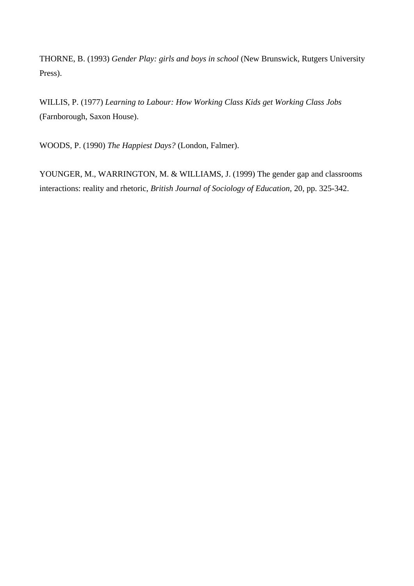THORNE, B. (1993) *Gender Play: girls and boys in school* (New Brunswick, Rutgers University Press).

WILLIS, P. (1977) *Learning to Labour: How Working Class Kids get Working Class Jobs* (Farnborough, Saxon House).

WOODS, P. (1990) *The Happiest Days?* (London, Falmer).

YOUNGER, M., WARRINGTON, M. & WILLIAMS, J. (1999) The gender gap and classrooms interactions: reality and rhetoric, *British Journal of Sociology of Education,* 20, pp. 325-342.